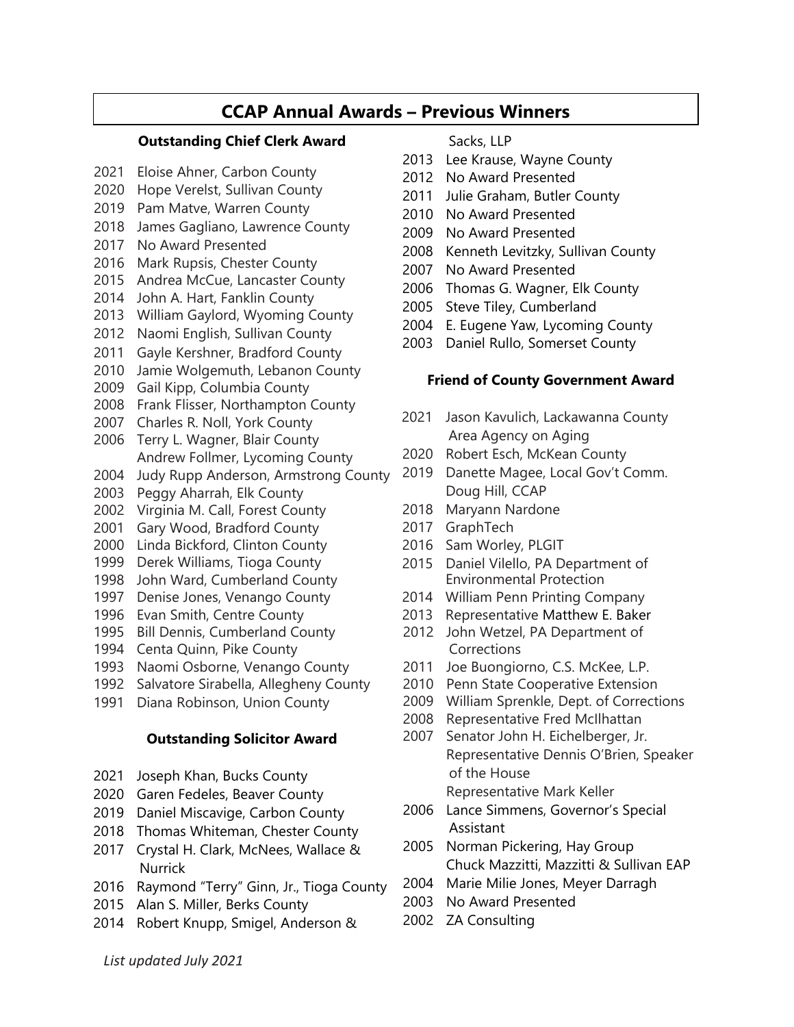# **CCAP Annual Awards – Previous Winners**

#### **Outstanding Chief Clerk Award**

- Eloise Ahner, Carbon County
- Hope Verelst, Sullivan County
- Pam Matve, Warren County
- James Gagliano, Lawrence County
- No Award Presented
- Mark Rupsis, Chester County
- Andrea McCue, Lancaster County
- John A. Hart, Fanklin County
- William Gaylord, Wyoming County
- Naomi English, Sullivan County
- Gayle Kershner, Bradford County
- Jamie Wolgemuth, Lebanon County
- Gail Kipp, Columbia County
- Frank Flisser, Northampton County
- Charles R. Noll, York County
- Terry L. Wagner, Blair County Andrew Follmer, Lycoming County
- Judy Rupp Anderson, Armstrong County
- Peggy Aharrah, Elk County
- Virginia M. Call, Forest County
- Gary Wood, Bradford County
- Linda Bickford, Clinton County
- Derek Williams, Tioga County
- John Ward, Cumberland County
- Denise Jones, Venango County
- Evan Smith, Centre County
- Bill Dennis, Cumberland County
- Centa Quinn, Pike County
- Naomi Osborne, Venango County
- Salvatore Sirabella, Allegheny County
- Diana Robinson, Union County

#### **Outstanding Solicitor Award**

- Joseph Khan, Bucks County
- Garen Fedeles, Beaver County
- Daniel Miscavige, Carbon County
- Thomas Whiteman, Chester County
- Crystal H. Clark, McNees, Wallace & **Nurrick**
- Raymond "Terry" Ginn, Jr., Tioga County
- Alan S. Miller, Berks County
- Robert Knupp, Smigel, Anderson &

#### Sacks, LLP

- Lee Krause, Wayne County
- No Award Presented
- Julie Graham, Butler County
- No Award Presented
- No Award Presented
- Kenneth Levitzky, Sullivan County
- No Award Presented
- Thomas G. Wagner, Elk County
- Steve Tiley, Cumberland
- E. Eugene Yaw, Lycoming County
- Daniel Rullo, Somerset County

#### **Friend of County Government Award**

- Jason Kavulich, Lackawanna County Area Agency on Aging
- Robert Esch, McKean County
- Danette Magee, Local Gov't Comm. Doug Hill, CCAP
- Maryann Nardone
- GraphTech
- Sam Worley, PLGIT
- Daniel Vilello, PA Department of Environmental Protection
- William Penn Printing Company
- Representative Matthew E. Baker
- John Wetzel, PA Department of Corrections
- Joe Buongiorno, C.S. McKee, L.P.
- Penn State Cooperative Extension
- William Sprenkle, Dept. of Corrections
- Representative Fred McIlhattan
- Senator John H. Eichelberger, Jr. Representative Dennis O'Brien, Speaker of the House Representative Mark Keller
- Lance Simmens, Governor's Special Assistant
- Norman Pickering, Hay Group Chuck Mazzitti, Mazzitti & Sullivan EAP
- Marie Milie Jones, Meyer Darragh
- No Award Presented
- ZA Consulting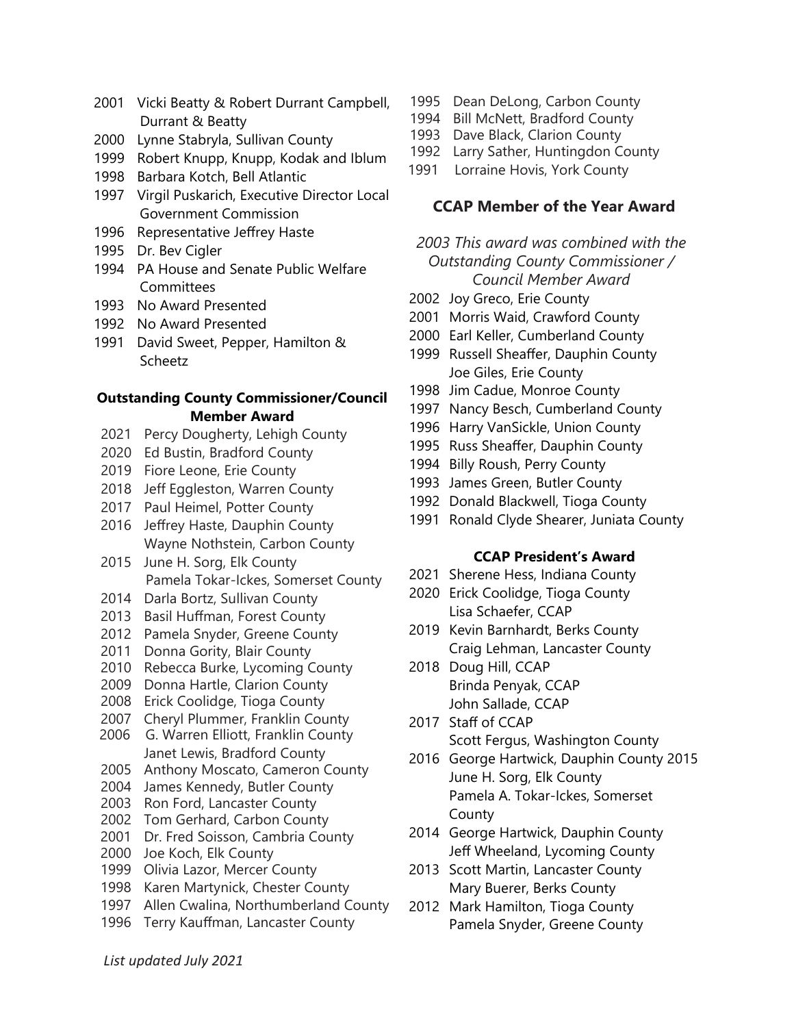- Vicki Beatty & Robert Durrant Campbell, Durrant & Beatty
- Lynne Stabryla, Sullivan County
- Robert Knupp, Knupp, Kodak and Iblum
- Barbara Kotch, Bell Atlantic
- Virgil Puskarich, Executive Director Local Government Commission
- Representative Jeffrey Haste
- Dr. Bev Cigler
- PA House and Senate Public Welfare Committees
- No Award Presented
- No Award Presented
- David Sweet, Pepper, Hamilton & Scheetz

#### **Outstanding County Commissioner/Council Member Award**

- Percy Dougherty, Lehigh County
- Ed Bustin, Bradford County
- Fiore Leone, Erie County
- 2018 Jeff Eggleston, Warren County
- Paul Heimel, Potter County
- Jeffrey Haste, Dauphin County Wayne Nothstein, Carbon County
- June H. Sorg, Elk County Pamela Tokar-Ickes, Somerset County
- Darla Bortz, Sullivan County
- Basil Huffman, Forest County
- Pamela Snyder, Greene County
- Donna Gority, Blair County
- Rebecca Burke, Lycoming County
- Donna Hartle, Clarion County
- Erick Coolidge, Tioga County
- Cheryl Plummer, Franklin County
- G. Warren Elliott, Franklin County Janet Lewis, Bradford County
- Anthony Moscato, Cameron County
- James Kennedy, Butler County
- Ron Ford, Lancaster County
- Tom Gerhard, Carbon County
- Dr. Fred Soisson, Cambria County
- Joe Koch, Elk County
- Olivia Lazor, Mercer County
- Karen Martynick, Chester County
- Allen Cwalina, Northumberland County
- Terry Kauffman, Lancaster County
- Dean DeLong, Carbon County
- Bill McNett, Bradford County
- Dave Black, Clarion County
- Larry Sather, Huntingdon County
- Lorraine Hovis, York County

#### **CCAP Member of the Year Award**

## *2003 This award was combined with the Outstanding County Commissioner / Council Member Award*

- Joy Greco, Erie County
- Morris Waid, Crawford County
- Earl Keller, Cumberland County
- Russell Sheaffer, Dauphin County Joe Giles, Erie County
- Jim Cadue, Monroe County
- Nancy Besch, Cumberland County
- Harry VanSickle, Union County
- Russ Sheaffer, Dauphin County
- Billy Roush, Perry County
- James Green, Butler County
- Donald Blackwell, Tioga County
- Ronald Clyde Shearer, Juniata County

#### **CCAP President's Award**

- Sherene Hess, Indiana County
- Erick Coolidge, Tioga County Lisa Schaefer, CCAP
- Kevin Barnhardt, Berks County Craig Lehman, Lancaster County
- Doug Hill, CCAP Brinda Penyak, CCAP John Sallade, CCAP
- Staff of CCAP Scott Fergus, Washington County
- George Hartwick, Dauphin County 2015 June H. Sorg, Elk County Pamela A. Tokar-Ickes, Somerset County
- George Hartwick, Dauphin County Jeff Wheeland, Lycoming County
- Scott Martin, Lancaster County Mary Buerer, Berks County
- Mark Hamilton, Tioga County Pamela Snyder, Greene County